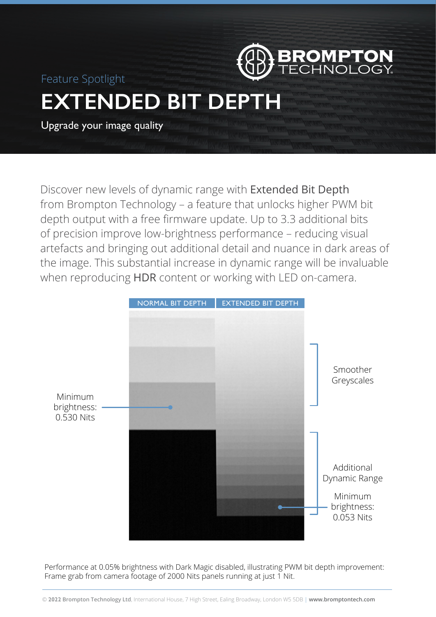

Feature Spotlight

# **EXTENDED BIT DEPT**

Upgrade your image quality

Discover new levels of dynamic range with Extended Bit Depth from Brompton Technology – a feature that unlocks higher PWM bit depth output with a free firmware update. Up to 3.3 additional bits of precision improve low-brightness performance – reducing visual artefacts and bringing out additional detail and nuance in dark areas of the image. This substantial increase in dynamic range will be invaluable when reproducing HDR content or working with LED on-camera.



Performance at 0.05% brightness with Dark Magic disabled, illustrating PWM bit depth improvement: Frame grab from camera footage of 2000 Nits panels running at just 1 Nit.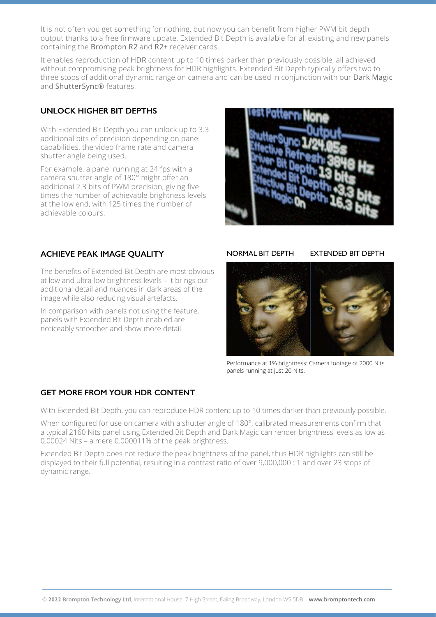It is not often you get something for nothing, but now you can benefit from higher PWM bit depth output thanks to a free firmware update. Extended Bit Depth is available for all existing and new panels containing the Brompton R2 and R2+ receiver cards.

It enables reproduction of HDR content up to 10 times darker than previously possible, all achieved without compromising peak brightness for HDR highlights. Extended Bit Depth typically offers two to three stops of additional dynamic range on camera and can be used in conjunction with our Dark Magic and ShutterSync® features.

# **UNLOCK HIGHER BIT DEPTHS**

With Extended Bit Depth you can unlock up to 3.3 additional bits of precision depending on panel capabilities, the video frame rate and camera shutter angle being used.

For example, a panel running at 24 fps with a camera shutter angle of 180° might offer an additional 2.3 bits of PWM precision, giving five times the number of achievable brightness levels at the low end, with 125 times the number of achievable colours.



# **ACHIEVE PEAK IMAGE QUALITY**

The benefits of Extended Bit Depth are most obvious at low and ultra-low brightness levels – it brings out additional detail and nuances in dark areas of the image while also reducing visual artefacts.

In comparison with panels not using the feature, panels with Extended Bit Depth enabled are noticeably smoother and show more detail.

NORMAL BIT DEPTH EXTENDED BIT DEPTH



Performance at 1% brightness: Camera footage of 2000 Nits panels running at just 20 Nits.

## **GET MORE FROM YOUR HDR CONTENT**

With Extended Bit Depth, you can reproduce HDR content up to 10 times darker than previously possible.

When configured for use on camera with a shutter angle of 180°, calibrated measurements confirm that a typical 2160 Nits panel using Extended Bit Depth and Dark Magic can render brightness levels as low as 0.00024 Nits – a mere 0.000011% of the peak brightness.

Extended Bit Depth does not reduce the peak brightness of the panel, thus HDR highlights can still be displayed to their full potential, resulting in a contrast ratio of over 9,000,000 : 1 and over 23 stops of dynamic range.